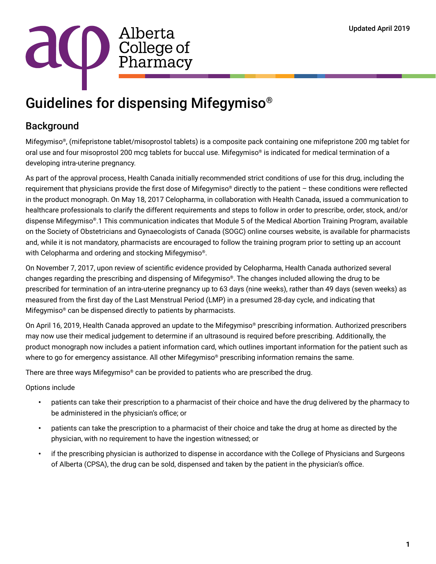

# Guidelines for dispensing Mifegymiso®

## Background

Mifegymiso®, (mifepristone tablet/misoprostol tablets) is a composite pack containing one mifepristone 200 mg tablet for oral use and four misoprostol 200 mcg tablets for buccal use. Mifegymiso® is indicated for medical termination of a developing intra-uterine pregnancy.

As part of the approval process, Health Canada initially recommended strict conditions of use for this drug, including the requirement that physicians provide the first dose of Mifegymiso® directly to the patient – these conditions were reflected in the product monograph. On May 18, 2017 Celopharma, in collaboration with Health Canada, issued a communication to healthcare professionals to clarify the different requirements and steps to follow in order to prescribe, order, stock, and/or dispense Mifegymiso®.1 This communication indicates that Module 5 of the Medical Abortion Training Program, available on the Society of Obstetricians and Gynaecologists of Canada (SOGC) online courses website, is available for pharmacists and, while it is not mandatory, pharmacists are encouraged to follow the training program prior to setting up an account with Celopharma and ordering and stocking Mifegymiso®.

On November 7, 2017, upon review of scientific evidence provided by Celopharma, Health Canada authorized several changes regarding the prescribing and dispensing of Mifegymiso®. The changes included allowing the drug to be prescribed for termination of an intra-uterine pregnancy up to 63 days (nine weeks), rather than 49 days (seven weeks) as measured from the first day of the Last Menstrual Period (LMP) in a presumed 28-day cycle, and indicating that Mifegymiso® can be dispensed directly to patients by pharmacists.

On April 16, 2019, Health Canada approved an update to the Mifegymiso® prescribing information. Authorized prescribers may now use their medical judgement to determine if an ultrasound is required before prescribing. Additionally, the product monograph now includes a patient information card, which outlines important information for the patient such as where to go for emergency assistance. All other Mifegymiso<sup>®</sup> prescribing information remains the same.

There are three ways Mifegymiso® can be provided to patients who are prescribed the drug.

Options include

- patients can take their prescription to a pharmacist of their choice and have the drug delivered by the pharmacy to be administered in the physician's office; or
- patients can take the prescription to a pharmacist of their choice and take the drug at home as directed by the physician, with no requirement to have the ingestion witnessed; or
- if the prescribing physician is authorized to dispense in accordance with the College of Physicians and Surgeons of Alberta (CPSA), the drug can be sold, dispensed and taken by the patient in the physician's office.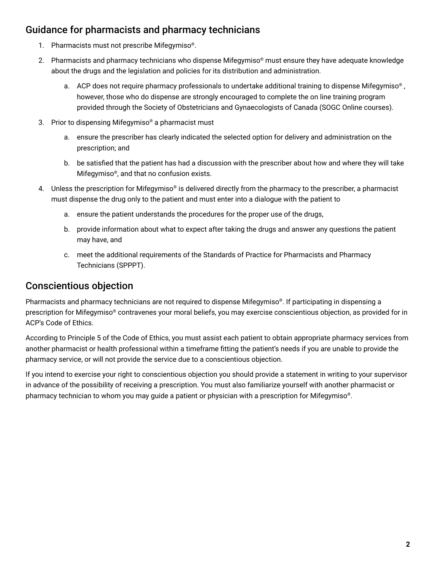## Guidance for pharmacists and pharmacy technicians

- 1. Pharmacists must not prescribe Mifegymiso®.
- 2. Pharmacists and pharmacy technicians who dispense Mifegymiso® must ensure they have adequate knowledge about the drugs and the legislation and policies for its distribution and administration.
	- a. ACP does not require pharmacy professionals to undertake additional training to dispense Mifegymiso<sup>®</sup>, however, those who do dispense are strongly encouraged to complete the on line training program provided through the Society of Obstetricians and Gynaecologists of Canada (SOGC Online courses).
- 3. Prior to dispensing Mifegymiso® a pharmacist must
	- a. ensure the prescriber has clearly indicated the selected option for delivery and administration on the prescription; and
	- b. be satisfied that the patient has had a discussion with the prescriber about how and where they will take Mifegymiso®, and that no confusion exists.
- 4. Unless the prescription for Mifegymiso® is delivered directly from the pharmacy to the prescriber, a pharmacist must dispense the drug only to the patient and must enter into a dialogue with the patient to
	- a. ensure the patient understands the procedures for the proper use of the drugs,
	- b. provide information about what to expect after taking the drugs and answer any questions the patient may have, and
	- c. meet the additional requirements of the Standards of Practice for Pharmacists and Pharmacy Technicians (SPPPT).

#### Conscientious objection

Pharmacists and pharmacy technicians are not required to dispense Mifegymiso®. If participating in dispensing a prescription for Mifegymiso® contravenes your moral beliefs, you may exercise conscientious objection, as provided for in ACP's Code of Ethics.

According to Principle 5 of the Code of Ethics, you must assist each patient to obtain appropriate pharmacy services from another pharmacist or health professional within a timeframe fitting the patient's needs if you are unable to provide the pharmacy service, or will not provide the service due to a conscientious objection.

If you intend to exercise your right to conscientious objection you should provide a statement in writing to your supervisor in advance of the possibility of receiving a prescription. You must also familiarize yourself with another pharmacist or pharmacy technician to whom you may guide a patient or physician with a prescription for Mifegymiso®.